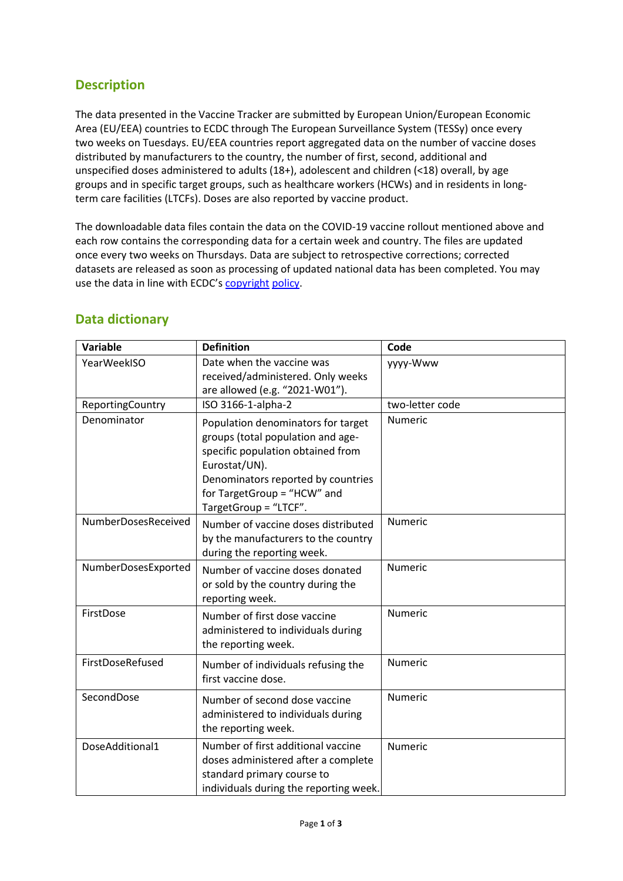## **Description**

The data presented in the Vaccine Tracker are submitted by European Union/European Economic Area (EU/EEA) countries to ECDC through The European Surveillance System (TESSy) once every two weeks on Tuesdays. EU/EEA countries report aggregated data on the number of vaccine doses distributed by manufacturers to the country, the number of first, second, additional and unspecified doses administered to adults (18+), adolescent and children (<18) overall, by age groups and in specific target groups, such as healthcare workers (HCWs) and in residents in longterm care facilities (LTCFs). Doses are also reported by vaccine product.

The downloadable data files contain the data on the COVID-19 vaccine rollout mentioned above and each row contains the corresponding data for a certain week and country. The files are updated once every two weeks on Thursdays. Data are subject to retrospective corrections; corrected datasets are released as soon as processing of updated national data has been completed. You may use the data in line with ECDC's [copyright](https://www.ecdc.europa.eu/en/copyright) [policy.](https://www.ecdc.europa.eu/en/copyright)

| Variable            | <b>Definition</b>                                                                                                                                                                                                           | Code            |
|---------------------|-----------------------------------------------------------------------------------------------------------------------------------------------------------------------------------------------------------------------------|-----------------|
| YearWeekISO         | Date when the vaccine was<br>received/administered. Only weeks<br>are allowed (e.g. "2021-W01").                                                                                                                            | yyyy-Www        |
| ReportingCountry    | ISO 3166-1-alpha-2                                                                                                                                                                                                          | two-letter code |
| Denominator         | Population denominators for target<br>groups (total population and age-<br>specific population obtained from<br>Eurostat/UN).<br>Denominators reported by countries<br>for TargetGroup = "HCW" and<br>TargetGroup = "LTCF". | <b>Numeric</b>  |
| NumberDosesReceived | Number of vaccine doses distributed<br>by the manufacturers to the country<br>during the reporting week.                                                                                                                    | <b>Numeric</b>  |
| NumberDosesExported | Number of vaccine doses donated<br>or sold by the country during the<br>reporting week.                                                                                                                                     | Numeric         |
| FirstDose           | Number of first dose vaccine<br>administered to individuals during<br>the reporting week.                                                                                                                                   | <b>Numeric</b>  |
| FirstDoseRefused    | Number of individuals refusing the<br>first vaccine dose.                                                                                                                                                                   | <b>Numeric</b>  |
| SecondDose          | Number of second dose vaccine<br>administered to individuals during<br>the reporting week.                                                                                                                                  | <b>Numeric</b>  |
| DoseAdditional1     | Number of first additional vaccine<br>doses administered after a complete<br>standard primary course to<br>individuals during the reporting week.                                                                           | <b>Numeric</b>  |

## **Data dictionary**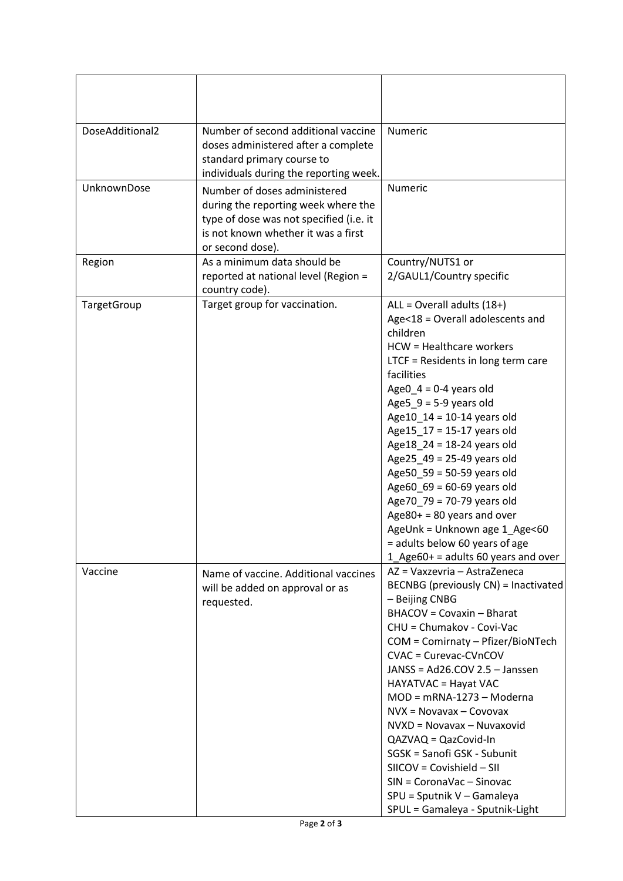| DoseAdditional2 | Number of second additional vaccine<br>doses administered after a complete<br>standard primary course to<br>individuals during the reporting week.                        | Numeric                                                                                                                                                                                                                                                                                                                                                                                                                                                                                                                                                                                  |
|-----------------|---------------------------------------------------------------------------------------------------------------------------------------------------------------------------|------------------------------------------------------------------------------------------------------------------------------------------------------------------------------------------------------------------------------------------------------------------------------------------------------------------------------------------------------------------------------------------------------------------------------------------------------------------------------------------------------------------------------------------------------------------------------------------|
| UnknownDose     | Number of doses administered<br>during the reporting week where the<br>type of dose was not specified (i.e. it<br>is not known whether it was a first<br>or second dose). | Numeric                                                                                                                                                                                                                                                                                                                                                                                                                                                                                                                                                                                  |
| Region          | As a minimum data should be<br>reported at national level (Region =<br>country code).                                                                                     | Country/NUTS1 or<br>2/GAUL1/Country specific                                                                                                                                                                                                                                                                                                                                                                                                                                                                                                                                             |
| TargetGroup     | Target group for vaccination.                                                                                                                                             | ALL = Overall adults (18+)<br>Age<18 = Overall adolescents and<br>children<br>HCW = Healthcare workers<br>LTCF = Residents in long term care<br>facilities<br>AgeO_4 = $0-4$ years old<br>Age $5_9$ = 5-9 years old<br>Age $10_14 = 10-14$ years old<br>Age15_17 = 15-17 years old<br>Age 18_24 = 18-24 years old<br>Age25_49 = 25-49 years old<br>Age 50_59 = 50-59 years old<br>Age60_69 = $60-69$ years old<br>Age70 79 = 70-79 years old<br>Age80+ = $80$ years and over<br>AgeUnk = Unknown age 1_Age<60<br>= adults below 60 years of age<br>$1$ Age60+ = adults 60 years and over |
| Vaccine         | Name of vaccine. Additional vaccines<br>will be added on approval or as<br>requested.                                                                                     | AZ = Vaxzevria - AstraZeneca<br>BECNBG (previously CN) = Inactivated<br>- Beijing CNBG<br><b>BHACOV = Covaxin - Bharat</b><br>CHU = Chumakov - Covi-Vac<br>COM = Comirnaty - Pfizer/BioNTech<br>CVAC = Curevac-CVnCOV<br>JANSS = Ad26.COV 2.5 - Janssen<br>HAYATVAC = Hayat VAC<br>$MOD = mRNA-1273 - Moderna$<br>$Nvx = Novavax - Covovax$<br>NVXD = Novavax - Nuvaxovid<br>$QAZVAQ = QazCovid-In$<br>SGSK = Sanofi GSK - Subunit<br>$SICOV = Covishield - SII$<br>SIN = CoronaVac - Sinovac<br>SPU = Sputnik V - Gamaleya<br>SPUL = Gamaleya - Sputnik-Light                           |